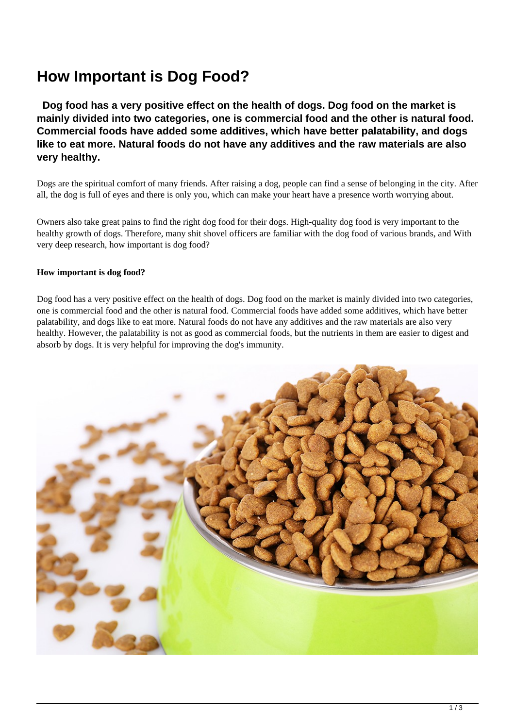# **How Important is Dog Food?**

 **Dog food has a very positive effect on the health of dogs. Dog food on the market is mainly divided into two categories, one is commercial food and the other is natural food. Commercial foods have added some additives, which have better palatability, and dogs like to eat more. Natural foods do not have any additives and the raw materials are also very healthy.**

Dogs are the spiritual comfort of many friends. After raising a dog, people can find a sense of belonging in the city. After all, the dog is full of eyes and there is only you, which can make your heart have a presence worth worrying about.

Owners also take great pains to find the right dog food for their dogs. High-quality dog food is very important to the healthy growth of dogs. Therefore, many shit shovel officers are familiar with the dog food of various brands, and With very deep research, how important is dog food?

# **How important is dog food?**

Dog food has a very positive effect on the health of dogs. Dog food on the market is mainly divided into two categories, one is commercial food and the other is natural food. Commercial foods have added some additives, which have better palatability, and dogs like to eat more. Natural foods do not have any additives and the raw materials are also very healthy. However, the palatability is not as good as commercial foods, but the nutrients in them are easier to digest and absorb by dogs. It is very helpful for improving the dog's immunity.

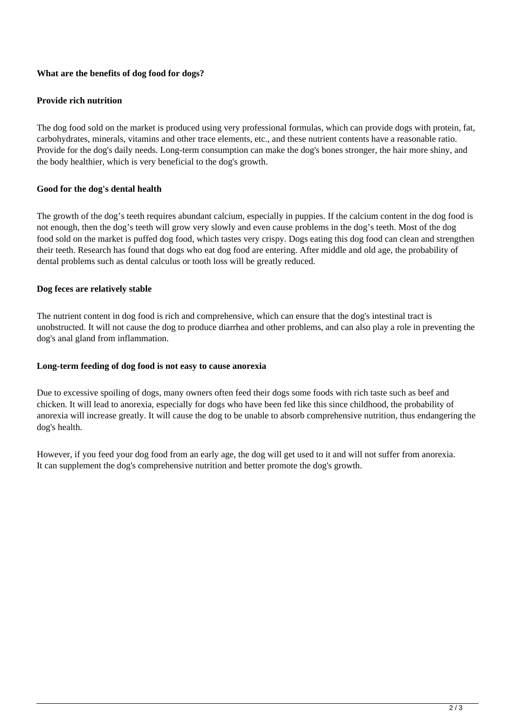## **What are the benefits of dog food for dogs?**

#### **Provide rich nutrition**

The dog food sold on the market is produced using very professional formulas, which can provide dogs with protein, fat, carbohydrates, minerals, vitamins and other trace elements, etc., and these nutrient contents have a reasonable ratio. Provide for the dog's daily needs. Long-term consumption can make the dog's bones stronger, the hair more shiny, and the body healthier, which is very beneficial to the dog's growth.

## **Good for the dog's dental health**

The growth of the dog's teeth requires abundant calcium, especially in puppies. If the calcium content in the dog food is not enough, then the dog's teeth will grow very slowly and even cause problems in the dog's teeth. Most of the dog food sold on the market is puffed dog food, which tastes very crispy. Dogs eating this dog food can clean and strengthen their teeth. Research has found that dogs who eat dog food are entering. After middle and old age, the probability of dental problems such as dental calculus or tooth loss will be greatly reduced.

## **Dog feces are relatively stable**

The nutrient content in dog food is rich and comprehensive, which can ensure that the dog's intestinal tract is unobstructed. It will not cause the dog to produce diarrhea and other problems, and can also play a role in preventing the dog's anal gland from inflammation.

#### **Long-term feeding of dog food is not easy to cause anorexia**

Due to excessive spoiling of dogs, many owners often feed their dogs some foods with rich taste such as beef and chicken. It will lead to anorexia, especially for dogs who have been fed like this since childhood, the probability of anorexia will increase greatly. It will cause the dog to be unable to absorb comprehensive nutrition, thus endangering the dog's health.

However, if you feed your dog food from an early age, the dog will get used to it and will not suffer from anorexia. It can supplement the dog's comprehensive nutrition and better promote the dog's growth.